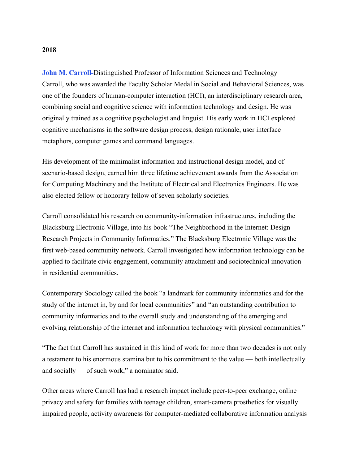## John M. Carroll-Distinguished Professor of Information Sciences and Technology Carroll, who was awarded the Faculty Scholar Medal in Social and Behavioral Sciences, was one of the founders of human-computer interaction (HCI), an interdisciplinary research area, combining social and cognitive science with information technology and design. He was originally trained as a cognitive psychologist and linguist. His early work in HCI explored cognitive mechanisms in the software design process, design rationale, user interface metaphors, computer games and command languages.

His development of the minimalist information and instructional design model, and of scenario-based design, earned him three lifetime achievement awards from the Association for Computing Machinery and the Institute of Electrical and Electronics Engineers. He was also elected fellow or honorary fellow of seven scholarly societies.

Carroll consolidated his research on community-information infrastructures, including the Blacksburg Electronic Village, into his book "The Neighborhood in the Internet: Design Research Projects in Community Informatics." The Blacksburg Electronic Village was the first web-based community network. Carroll investigated how information technology can be applied to facilitate civic engagement, community attachment and sociotechnical innovation in residential communities.

Contemporary Sociology called the book "a landmark for community informatics and for the study of the internet in, by and for local communities" and "an outstanding contribution to community informatics and to the overall study and understanding of the emerging and evolving relationship of the internet and information technology with physical communities."

"The fact that Carroll has sustained in this kind of work for more than two decades is not only a testament to his enormous stamina but to his commitment to the value — both intellectually and socially — of such work," a nominator said.

Other areas where Carroll has had a research impact include peer-to-peer exchange, online privacy and safety for families with teenage children, smart-camera prosthetics for visually impaired people, activity awareness for computer-mediated collaborative information analysis

## 2018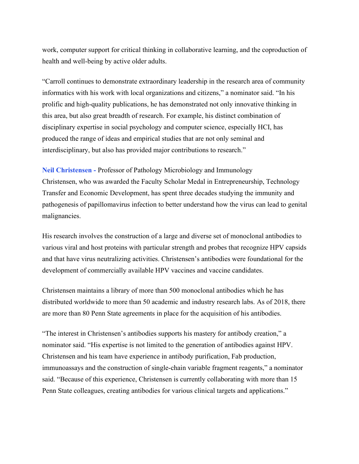work, computer support for critical thinking in collaborative learning, and the coproduction of health and well-being by active older adults.

"Carroll continues to demonstrate extraordinary leadership in the research area of community informatics with his work with local organizations and citizens," a nominator said. "In his prolific and high-quality publications, he has demonstrated not only innovative thinking in this area, but also great breadth of research. For example, his distinct combination of disciplinary expertise in social psychology and computer science, especially HCI, has produced the range of ideas and empirical studies that are not only seminal and interdisciplinary, but also has provided major contributions to research."

Neil Christensen - Professor of Pathology Microbiology and Immunology Christensen, who was awarded the Faculty Scholar Medal in Entrepreneurship, Technology Transfer and Economic Development, has spent three decades studying the immunity and pathogenesis of papillomavirus infection to better understand how the virus can lead to genital malignancies.

His research involves the construction of a large and diverse set of monoclonal antibodies to various viral and host proteins with particular strength and probes that recognize HPV capsids and that have virus neutralizing activities. Christensen's antibodies were foundational for the development of commercially available HPV vaccines and vaccine candidates.

Christensen maintains a library of more than 500 monoclonal antibodies which he has distributed worldwide to more than 50 academic and industry research labs. As of 2018, there are more than 80 Penn State agreements in place for the acquisition of his antibodies.

"The interest in Christensen's antibodies supports his mastery for antibody creation," a nominator said. "His expertise is not limited to the generation of antibodies against HPV. Christensen and his team have experience in antibody purification, Fab production, immunoassays and the construction of single-chain variable fragment reagents," a nominator said. "Because of this experience, Christensen is currently collaborating with more than 15 Penn State colleagues, creating antibodies for various clinical targets and applications."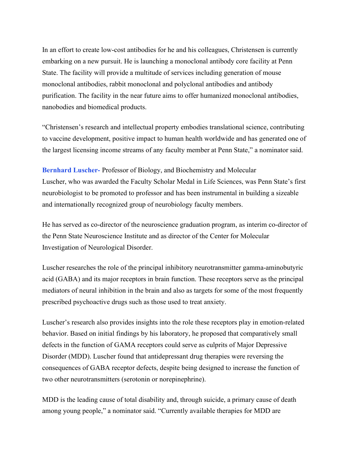In an effort to create low-cost antibodies for he and his colleagues, Christensen is currently embarking on a new pursuit. He is launching a monoclonal antibody core facility at Penn State. The facility will provide a multitude of services including generation of mouse monoclonal antibodies, rabbit monoclonal and polyclonal antibodies and antibody purification. The facility in the near future aims to offer humanized monoclonal antibodies, nanobodies and biomedical products.

"Christensen's research and intellectual property embodies translational science, contributing to vaccine development, positive impact to human health worldwide and has generated one of the largest licensing income streams of any faculty member at Penn State," a nominator said.

Bernhard Luscher- Professor of Biology, and Biochemistry and Molecular Luscher, who was awarded the Faculty Scholar Medal in Life Sciences, was Penn State's first neurobiologist to be promoted to professor and has been instrumental in building a sizeable and internationally recognized group of neurobiology faculty members.

He has served as co-director of the neuroscience graduation program, as interim co-director of the Penn State Neuroscience Institute and as director of the Center for Molecular Investigation of Neurological Disorder.

Luscher researches the role of the principal inhibitory neurotransmitter gamma-aminobutyric acid (GABA) and its major receptors in brain function. These receptors serve as the principal mediators of neural inhibition in the brain and also as targets for some of the most frequently prescribed psychoactive drugs such as those used to treat anxiety.

Luscher's research also provides insights into the role these receptors play in emotion-related behavior. Based on initial findings by his laboratory, he proposed that comparatively small defects in the function of GAMA receptors could serve as culprits of Major Depressive Disorder (MDD). Luscher found that antidepressant drug therapies were reversing the consequences of GABA receptor defects, despite being designed to increase the function of two other neurotransmitters (serotonin or norepinephrine).

MDD is the leading cause of total disability and, through suicide, a primary cause of death among young people," a nominator said. "Currently available therapies for MDD are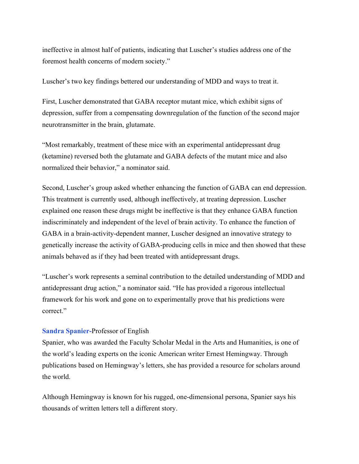ineffective in almost half of patients, indicating that Luscher's studies address one of the foremost health concerns of modern society."

Luscher's two key findings bettered our understanding of MDD and ways to treat it.

First, Luscher demonstrated that GABA receptor mutant mice, which exhibit signs of depression, suffer from a compensating downregulation of the function of the second major neurotransmitter in the brain, glutamate.

"Most remarkably, treatment of these mice with an experimental antidepressant drug (ketamine) reversed both the glutamate and GABA defects of the mutant mice and also normalized their behavior," a nominator said.

Second, Luscher's group asked whether enhancing the function of GABA can end depression. This treatment is currently used, although ineffectively, at treating depression. Luscher explained one reason these drugs might be ineffective is that they enhance GABA function indiscriminately and independent of the level of brain activity. To enhance the function of GABA in a brain-activity-dependent manner, Luscher designed an innovative strategy to genetically increase the activity of GABA-producing cells in mice and then showed that these animals behaved as if they had been treated with antidepressant drugs.

"Luscher's work represents a seminal contribution to the detailed understanding of MDD and antidepressant drug action," a nominator said. "He has provided a rigorous intellectual framework for his work and gone on to experimentally prove that his predictions were correct."

## Sandra Spanier-Professor of English

Spanier, who was awarded the Faculty Scholar Medal in the Arts and Humanities, is one of the world's leading experts on the iconic American writer Ernest Hemingway. Through publications based on Hemingway's letters, she has provided a resource for scholars around the world.

Although Hemingway is known for his rugged, one-dimensional persona, Spanier says his thousands of written letters tell a different story.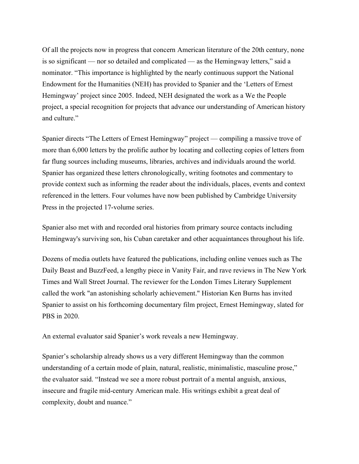Of all the projects now in progress that concern American literature of the 20th century, none is so significant — nor so detailed and complicated — as the Hemingway letters," said a nominator. "This importance is highlighted by the nearly continuous support the National Endowment for the Humanities (NEH) has provided to Spanier and the 'Letters of Ernest Hemingway' project since 2005. Indeed, NEH designated the work as a We the People project, a special recognition for projects that advance our understanding of American history and culture."

Spanier directs "The Letters of Ernest Hemingway" project — compiling a massive trove of more than 6,000 letters by the prolific author by locating and collecting copies of letters from far flung sources including museums, libraries, archives and individuals around the world. Spanier has organized these letters chronologically, writing footnotes and commentary to provide context such as informing the reader about the individuals, places, events and context referenced in the letters. Four volumes have now been published by Cambridge University Press in the projected 17-volume series.

Spanier also met with and recorded oral histories from primary source contacts including Hemingway's surviving son, his Cuban caretaker and other acquaintances throughout his life.

Dozens of media outlets have featured the publications, including online venues such as The Daily Beast and BuzzFeed, a lengthy piece in Vanity Fair, and rave reviews in The New York Times and Wall Street Journal. The reviewer for the London Times Literary Supplement called the work "an astonishing scholarly achievement." Historian Ken Burns has invited Spanier to assist on his forthcoming documentary film project, Ernest Hemingway, slated for PBS in 2020.

An external evaluator said Spanier's work reveals a new Hemingway.

Spanier's scholarship already shows us a very different Hemingway than the common understanding of a certain mode of plain, natural, realistic, minimalistic, masculine prose," the evaluator said. "Instead we see a more robust portrait of a mental anguish, anxious, insecure and fragile mid-century American male. His writings exhibit a great deal of complexity, doubt and nuance."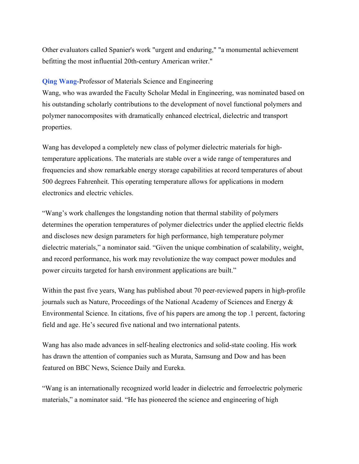Other evaluators called Spanier's work "urgent and enduring," "a monumental achievement befitting the most influential 20th-century American writer."

## Qing Wang-Professor of Materials Science and Engineering

Wang, who was awarded the Faculty Scholar Medal in Engineering, was nominated based on his outstanding scholarly contributions to the development of novel functional polymers and polymer nanocomposites with dramatically enhanced electrical, dielectric and transport properties.

Wang has developed a completely new class of polymer dielectric materials for hightemperature applications. The materials are stable over a wide range of temperatures and frequencies and show remarkable energy storage capabilities at record temperatures of about 500 degrees Fahrenheit. This operating temperature allows for applications in modern electronics and electric vehicles.

"Wang's work challenges the longstanding notion that thermal stability of polymers determines the operation temperatures of polymer dielectrics under the applied electric fields and discloses new design parameters for high performance, high temperature polymer dielectric materials," a nominator said. "Given the unique combination of scalability, weight, and record performance, his work may revolutionize the way compact power modules and power circuits targeted for harsh environment applications are built."

Within the past five years, Wang has published about 70 peer-reviewed papers in high-profile journals such as Nature, Proceedings of the National Academy of Sciences and Energy  $\&$ Environmental Science. In citations, five of his papers are among the top .1 percent, factoring field and age. He's secured five national and two international patents.

Wang has also made advances in self-healing electronics and solid-state cooling. His work has drawn the attention of companies such as Murata, Samsung and Dow and has been featured on BBC News, Science Daily and Eureka.

"Wang is an internationally recognized world leader in dielectric and ferroelectric polymeric materials," a nominator said. "He has pioneered the science and engineering of high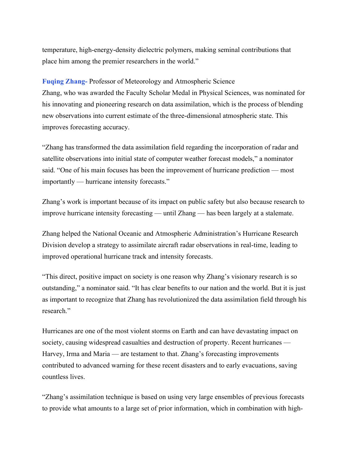temperature, high-energy-density dielectric polymers, making seminal contributions that place him among the premier researchers in the world."

Fuqing Zhang- Professor of Meteorology and Atmospheric Science Zhang, who was awarded the Faculty Scholar Medal in Physical Sciences, was nominated for his innovating and pioneering research on data assimilation, which is the process of blending new observations into current estimate of the three-dimensional atmospheric state. This improves forecasting accuracy.

"Zhang has transformed the data assimilation field regarding the incorporation of radar and satellite observations into initial state of computer weather forecast models," a nominator said. "One of his main focuses has been the improvement of hurricane prediction — most importantly — hurricane intensity forecasts."

Zhang's work is important because of its impact on public safety but also because research to improve hurricane intensity forecasting — until Zhang — has been largely at a stalemate.

Zhang helped the National Oceanic and Atmospheric Administration's Hurricane Research Division develop a strategy to assimilate aircraft radar observations in real-time, leading to improved operational hurricane track and intensity forecasts.

"This direct, positive impact on society is one reason why Zhang's visionary research is so outstanding," a nominator said. "It has clear benefits to our nation and the world. But it is just as important to recognize that Zhang has revolutionized the data assimilation field through his research."

Hurricanes are one of the most violent storms on Earth and can have devastating impact on society, causing widespread casualties and destruction of property. Recent hurricanes — Harvey, Irma and Maria — are testament to that. Zhang's forecasting improvements contributed to advanced warning for these recent disasters and to early evacuations, saving countless lives.

"Zhang's assimilation technique is based on using very large ensembles of previous forecasts to provide what amounts to a large set of prior information, which in combination with high